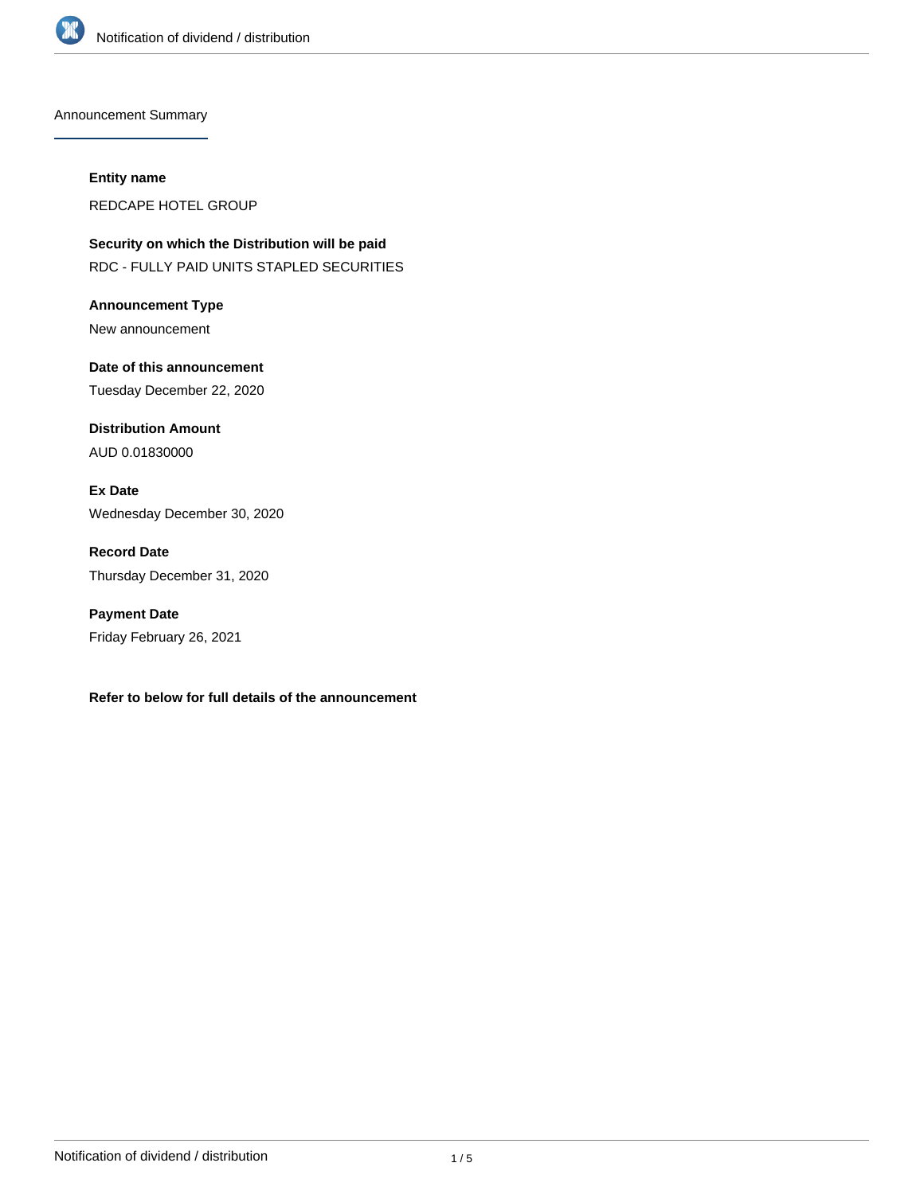

Announcement Summary

#### **Entity name**

REDCAPE HOTEL GROUP

**Security on which the Distribution will be paid** RDC - FULLY PAID UNITS STAPLED SECURITIES

**Announcement Type** New announcement

**Date of this announcement** Tuesday December 22, 2020

**Distribution Amount** AUD 0.01830000

**Ex Date** Wednesday December 30, 2020

**Record Date** Thursday December 31, 2020

**Payment Date** Friday February 26, 2021

**Refer to below for full details of the announcement**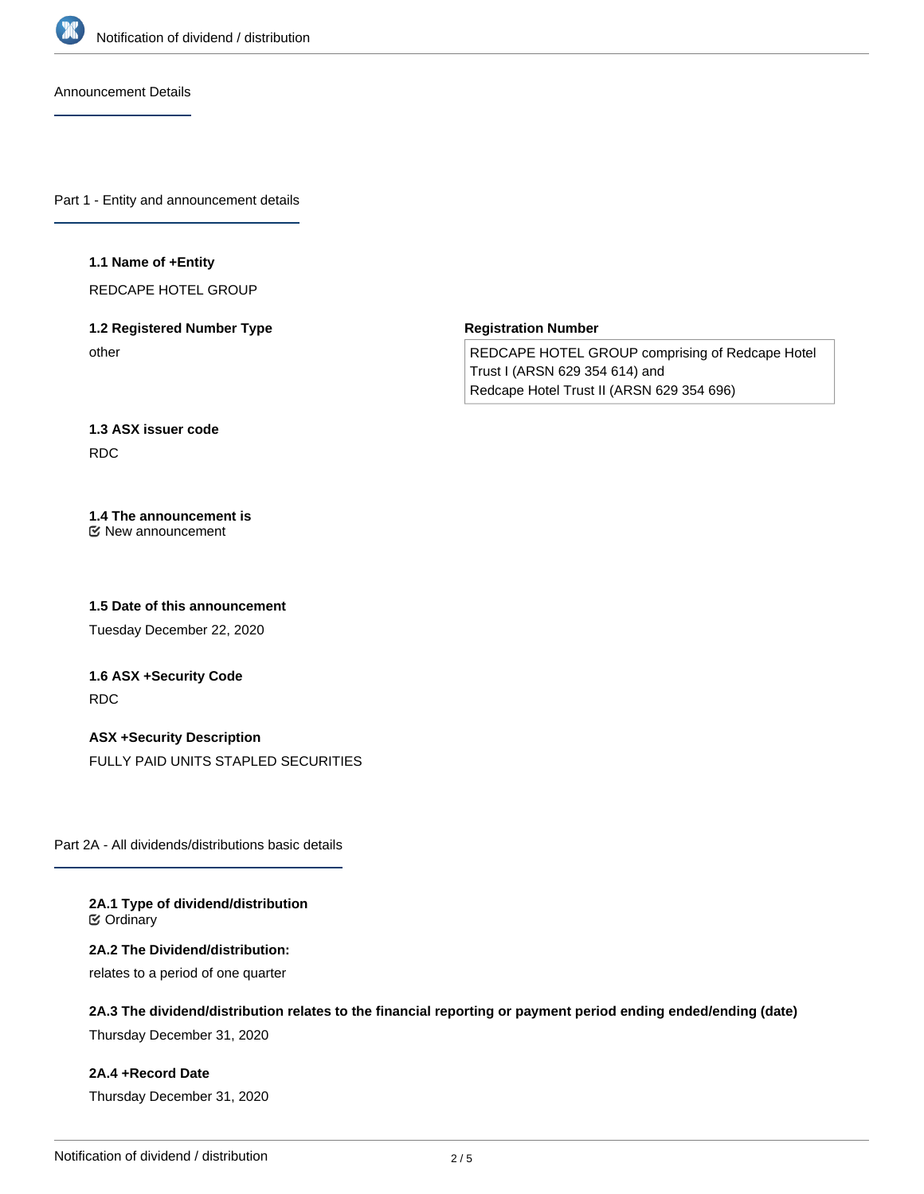

Announcement Details

Part 1 - Entity and announcement details

#### **1.1 Name of +Entity**

REDCAPE HOTEL GROUP

### **1.2 Registered Number Type** other

**Registration Number**

REDCAPE HOTEL GROUP comprising of Redcape Hotel Trust I (ARSN 629 354 614) and Redcape Hotel Trust II (ARSN 629 354 696)

### **1.3 ASX issuer code** RDC

#### **1.4 The announcement is** New announcement

**1.5 Date of this announcement**

Tuesday December 22, 2020

# **1.6 ASX +Security Code** RDC

**ASX +Security Description** FULLY PAID UNITS STAPLED SECURITIES

Part 2A - All dividends/distributions basic details

#### **2A.1 Type of dividend/distribution C** Ordinary

#### **2A.2 The Dividend/distribution:**

relates to a period of one quarter

### **2A.3 The dividend/distribution relates to the financial reporting or payment period ending ended/ending (date)**

Thursday December 31, 2020

### **2A.4 +Record Date**

Thursday December 31, 2020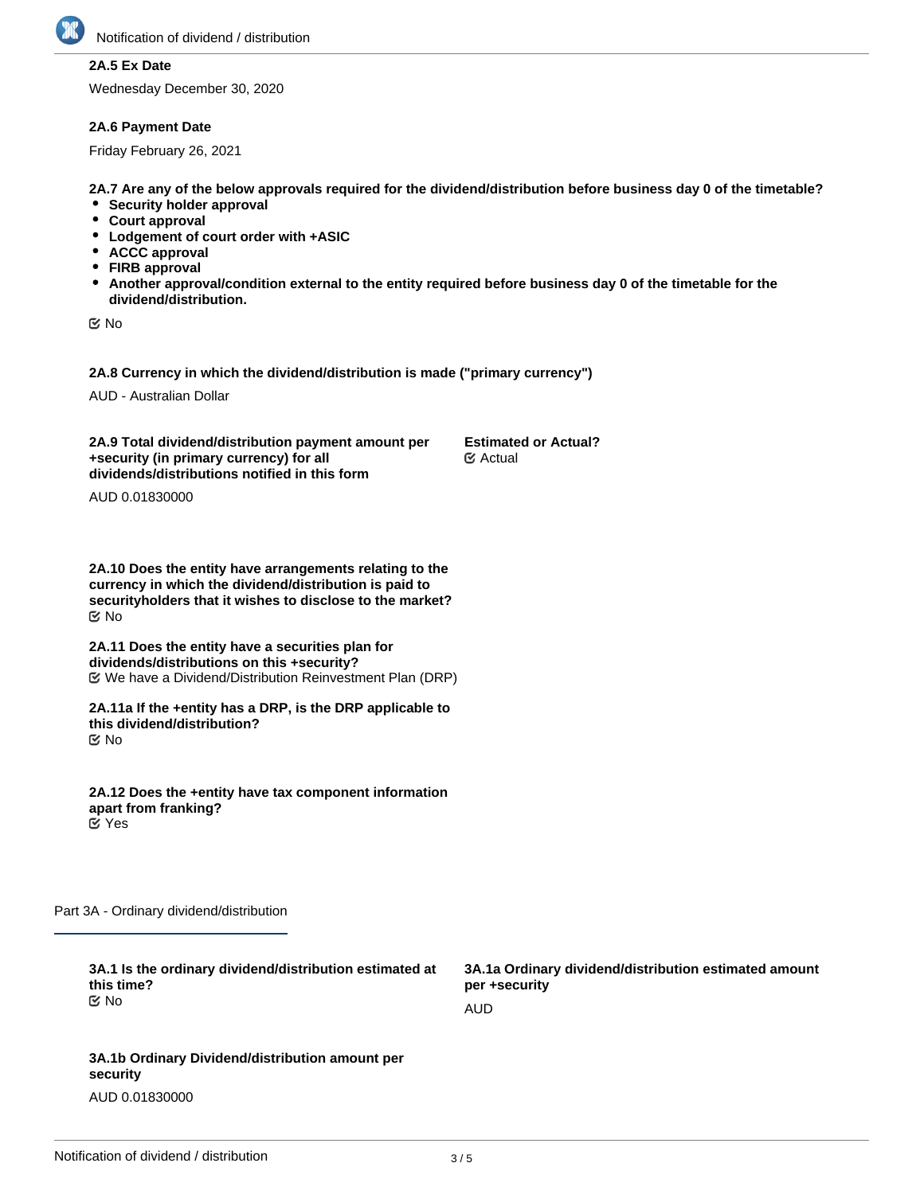

### **2A.5 Ex Date**

Wednesday December 30, 2020

#### **2A.6 Payment Date**

Friday February 26, 2021

**2A.7 Are any of the below approvals required for the dividend/distribution before business day 0 of the timetable?**

- **•** Security holder approval
- **Court approval**
- **Lodgement of court order with +ASIC**
- **ACCC approval**
- **FIRB approval**
- **Another approval/condition external to the entity required before business day 0 of the timetable for the dividend/distribution.**

No

**2A.8 Currency in which the dividend/distribution is made ("primary currency")**

AUD - Australian Dollar

**2A.9 Total dividend/distribution payment amount per +security (in primary currency) for all dividends/distributions notified in this form Estimated or Actual?** Actual

AUD 0.01830000

**2A.10 Does the entity have arrangements relating to the currency in which the dividend/distribution is paid to securityholders that it wishes to disclose to the market?** No

**2A.11 Does the entity have a securities plan for dividends/distributions on this +security?** We have a Dividend/Distribution Reinvestment Plan (DRP)

**2A.11a If the +entity has a DRP, is the DRP applicable to this dividend/distribution?** No

**2A.12 Does the +entity have tax component information apart from franking?** Yes

Part 3A - Ordinary dividend/distribution

| 3A.1 Is the ordinary dividend/distribution estimated at<br>this time? | 3A.1a Ordinary dividend/distribution estimated amount<br>per +security |
|-----------------------------------------------------------------------|------------------------------------------------------------------------|
| tiX No                                                                | AUD                                                                    |
|                                                                       |                                                                        |
| 3A.1b Ordinary Dividend/distribution amount per<br>security           |                                                                        |

AUD 0.01830000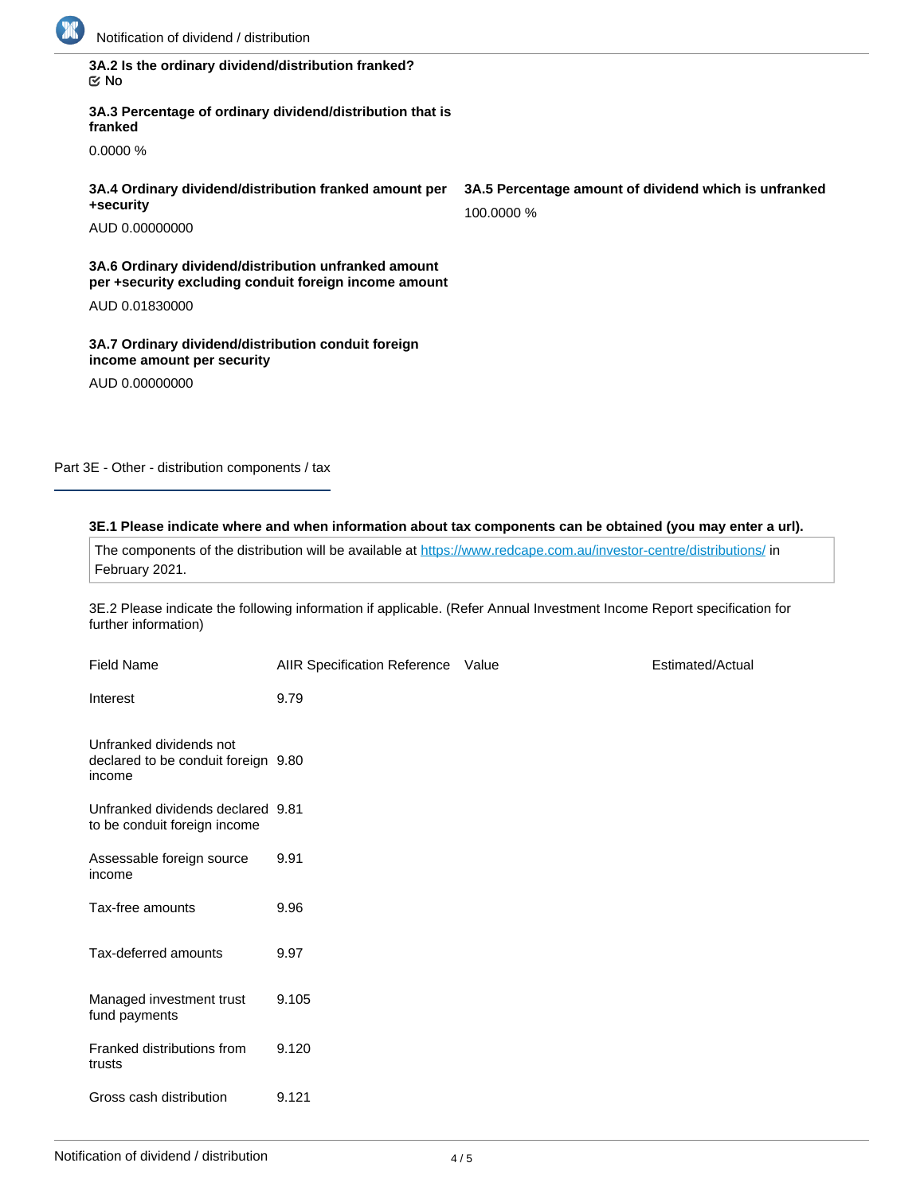

| 3A.2 Is the ordinary dividend/distribution franked? |  |
|-----------------------------------------------------|--|
| ା ⊠                                                 |  |

**3A.3 Percentage of ordinary dividend/distribution that is franked**

0.0000 %

**3A.4 Ordinary dividend/distribution franked amount per +security**

AUD 0.00000000

**3A.6 Ordinary dividend/distribution unfranked amount per +security excluding conduit foreign income amount**

AUD 0.01830000

**3A.7 Ordinary dividend/distribution conduit foreign income amount per security**

AUD 0.00000000

Part 3E - Other - distribution components / tax

### **3E.1 Please indicate where and when information about tax components can be obtained (you may enter a url).**

The components of the distribution will be available at <https://www.redcape.com.au/investor-centre/distributions/>in February 2021.

3E.2 Please indicate the following information if applicable. (Refer Annual Investment Income Report specification for further information)

| <b>Field Name</b>                                                        | AIIR Specification Reference Value | Estimated/Actual |
|--------------------------------------------------------------------------|------------------------------------|------------------|
| Interest                                                                 | 9.79                               |                  |
| Unfranked dividends not<br>declared to be conduit foreign 9.80<br>income |                                    |                  |
| Unfranked dividends declared 9.81<br>to be conduit foreign income        |                                    |                  |
| Assessable foreign source<br>income                                      | 9.91                               |                  |
| Tax-free amounts                                                         | 9.96                               |                  |
| Tax-deferred amounts                                                     | 9.97                               |                  |
| Managed investment trust<br>fund payments                                | 9.105                              |                  |
| Franked distributions from<br>trusts                                     | 9.120                              |                  |
| Gross cash distribution                                                  | 9.121                              |                  |

**3A.5 Percentage amount of dividend which is unfranked** 100.0000 %